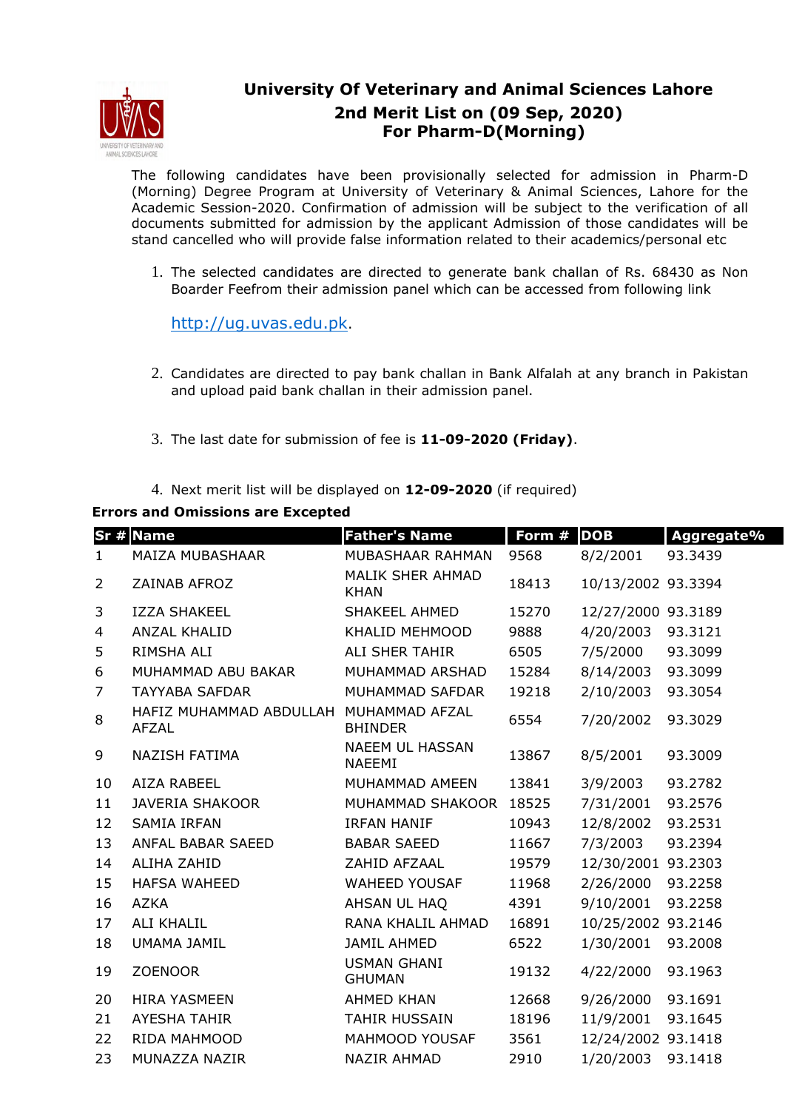

## **University Of Veterinary and Animal Sciences Lahore 2nd Merit List on (09 Sep, 2020) For Pharm-D(Morning)**

The following candidates have been provisionally selected for admission in Pharm-D (Morning) Degree Program at University of Veterinary & Animal Sciences, Lahore for the Academic Session-2020. Confirmation of admission will be subject to the verification of all documents submitted for admission by the applicant Admission of those candidates will be stand cancelled who will provide false information related to their academics/personal etc

1. The selected candidates are directed to generate bank challan of Rs. 68430 as Non Boarder Feefrom their admission panel which can be accessed from following link

http://ug.uvas.edu.pk.

- 2. Candidates are directed to pay bank challan in Bank Alfalah at any branch in Pakistan and upload paid bank challan in their admission panel.
- 3. The last date for submission of fee is **11-09-2020 (Friday)**.
- 4. Next merit list will be displayed on **12-09-2020** (if required)

## **Errors and Omissions are Excepted**

|                | <b>Sr # Name</b>                                       | <b>Father's Name</b>                    | Form # | <b>DOB</b>         | Aggregate% |
|----------------|--------------------------------------------------------|-----------------------------------------|--------|--------------------|------------|
| $\mathbf{1}$   | MAIZA MUBASHAAR                                        | MUBASHAAR RAHMAN                        | 9568   | 8/2/2001           | 93.3439    |
| 2              | ZAINAB AFROZ                                           | MALIK SHER AHMAD<br><b>KHAN</b>         | 18413  | 10/13/2002 93.3394 |            |
| 3              | <b>IZZA SHAKEEL</b>                                    | <b>SHAKEEL AHMED</b>                    | 15270  | 12/27/2000 93.3189 |            |
| 4              | <b>ANZAL KHALID</b>                                    | KHALID MEHMOOD                          | 9888   | 4/20/2003          | 93.3121    |
| 5              | RIMSHA ALI                                             | ALI SHER TAHIR                          | 6505   | 7/5/2000           | 93.3099    |
| 6              | MUHAMMAD ABU BAKAR                                     | MUHAMMAD ARSHAD                         | 15284  | 8/14/2003          | 93.3099    |
| $\overline{7}$ | <b>TAYYABA SAFDAR</b>                                  | MUHAMMAD SAFDAR                         | 19218  | 2/10/2003          | 93.3054    |
| 8              | HAFIZ MUHAMMAD ABDULLAH MUHAMMAD AFZAL<br><b>AFZAL</b> | <b>BHINDER</b>                          | 6554   | 7/20/2002          | 93.3029    |
| 9              | NAZISH FATIMA                                          | <b>NAEEM UL HASSAN</b><br><b>NAEEMI</b> | 13867  | 8/5/2001           | 93.3009    |
| 10             | AIZA RABEEL                                            | MUHAMMAD AMEEN                          | 13841  | 3/9/2003           | 93.2782    |
| 11             | <b>JAVERIA SHAKOOR</b>                                 | MUHAMMAD SHAKOOR                        | 18525  | 7/31/2001          | 93.2576    |
| 12             | <b>SAMIA IRFAN</b>                                     | <b>IRFAN HANIF</b>                      | 10943  | 12/8/2002          | 93.2531    |
| 13             | ANFAL BABAR SAEED                                      | <b>BABAR SAEED</b>                      | 11667  | 7/3/2003           | 93.2394    |
| 14             | <b>ALIHA ZAHID</b>                                     | ZAHID AFZAAL                            | 19579  | 12/30/2001 93.2303 |            |
| 15             | <b>HAFSA WAHEED</b>                                    | <b>WAHEED YOUSAF</b>                    | 11968  | 2/26/2000          | 93.2258    |
| 16             | <b>AZKA</b>                                            | AHSAN UL HAQ                            | 4391   | 9/10/2001          | 93.2258    |
| 17             | <b>ALI KHALIL</b>                                      | RANA KHALIL AHMAD                       | 16891  | 10/25/2002 93.2146 |            |
| 18             | UMAMA JAMIL                                            | <b>JAMIL AHMED</b>                      | 6522   | 1/30/2001          | 93.2008    |
| 19             | <b>ZOENOOR</b>                                         | <b>USMAN GHANI</b><br><b>GHUMAN</b>     | 19132  | 4/22/2000          | 93.1963    |
| 20             | <b>HIRA YASMEEN</b>                                    | <b>AHMED KHAN</b>                       | 12668  | 9/26/2000          | 93.1691    |
| 21             | <b>AYESHA TAHIR</b>                                    | <b>TAHIR HUSSAIN</b>                    | 18196  | 11/9/2001          | 93.1645    |
| 22             | RIDA MAHMOOD                                           | MAHMOOD YOUSAF                          | 3561   | 12/24/2002 93.1418 |            |
| 23             | MUNAZZA NAZIR                                          | <b>NAZIR AHMAD</b>                      | 2910   | 1/20/2003          | 93.1418    |